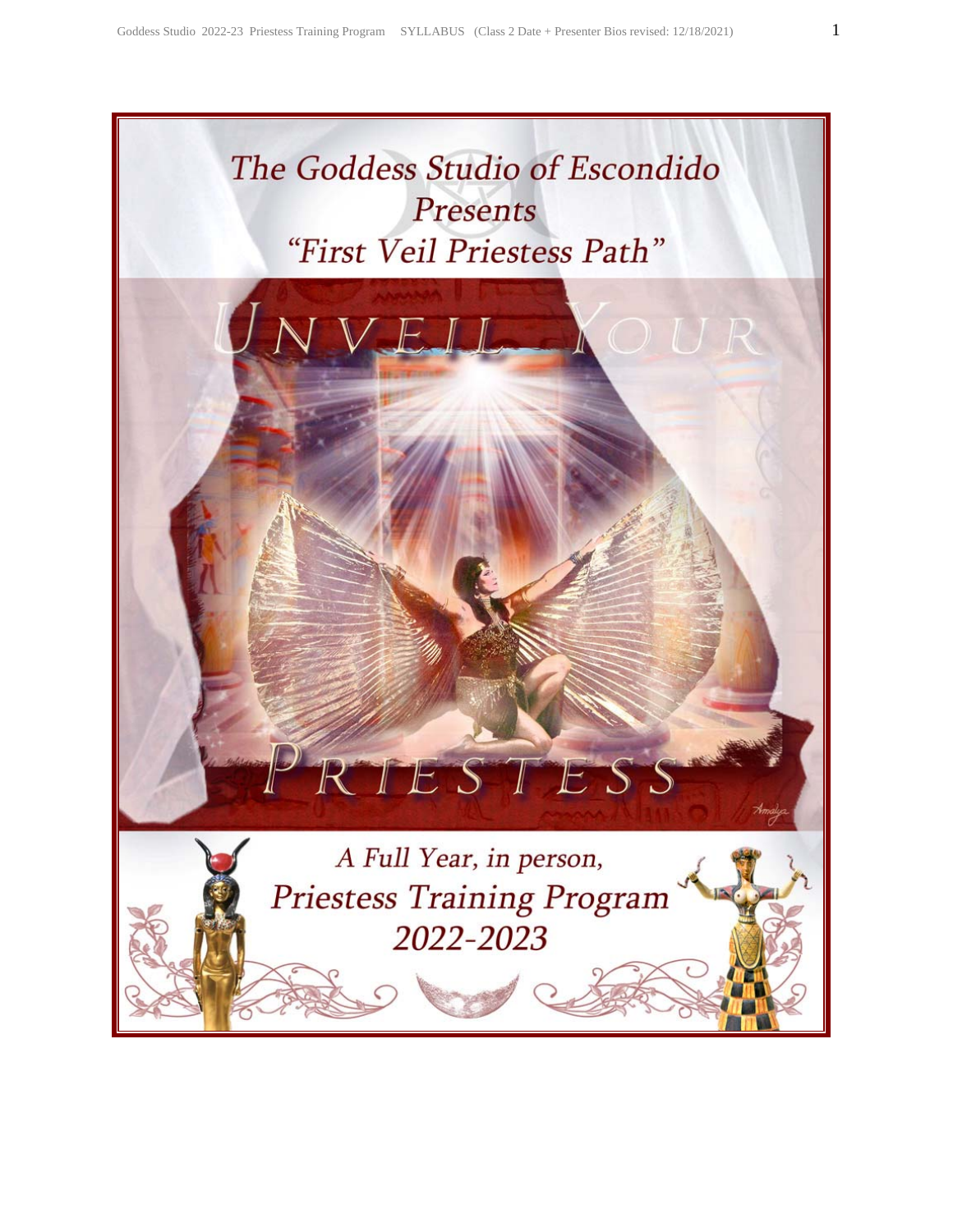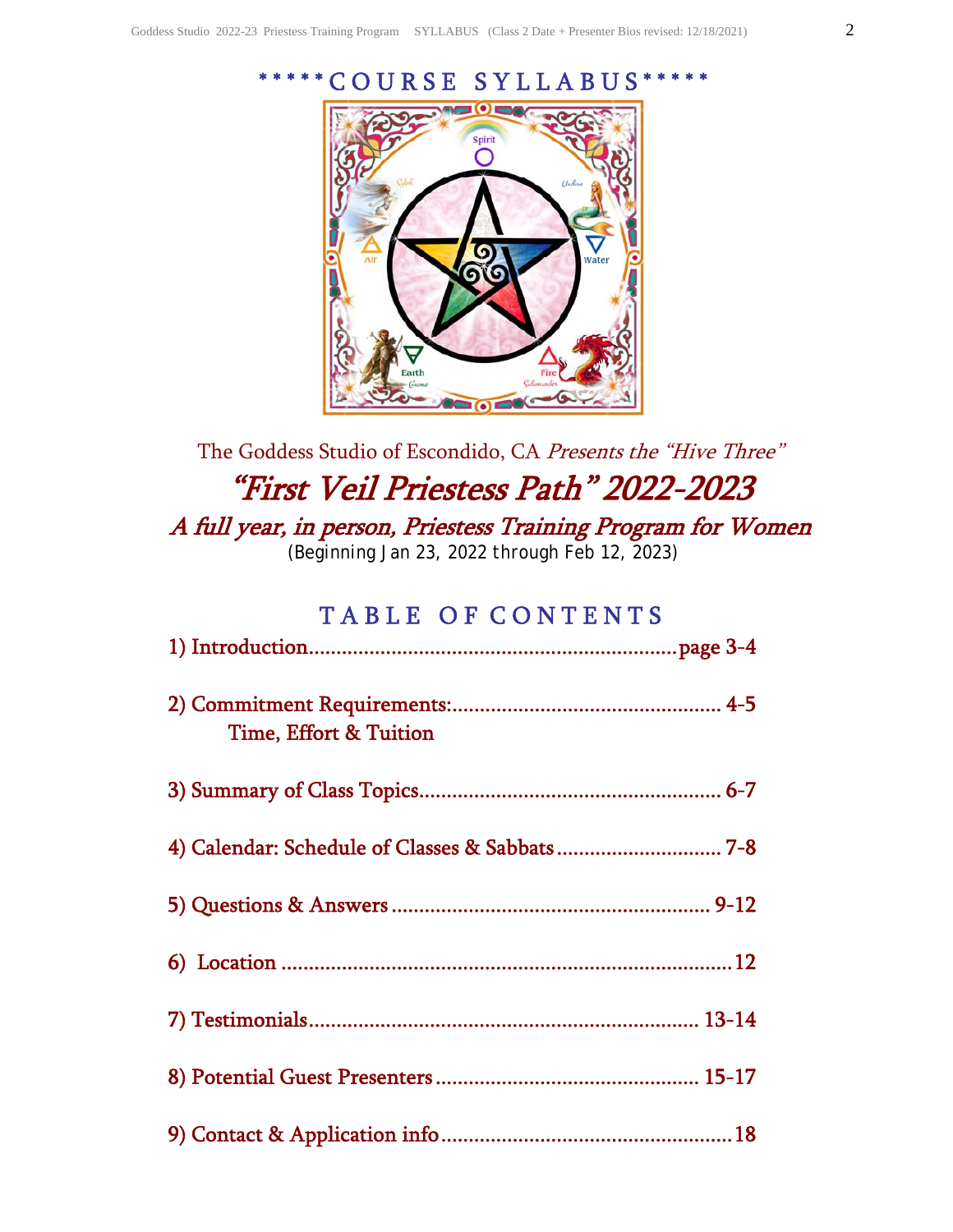Earth



# The Goddess Studio of Escondido, CA Presents the "Hive Three" "First Veil Priestess Path" 2022-2023 A full year, in person, Priestess Training Program for Women *(Beginning Jan 23, 2022 through Feb 12, 2023)*

# TABLE OF CONTENTS

| <b>Time, Effort &amp; Tuition</b> |  |
|-----------------------------------|--|
|                                   |  |
|                                   |  |
|                                   |  |
|                                   |  |
|                                   |  |
|                                   |  |
|                                   |  |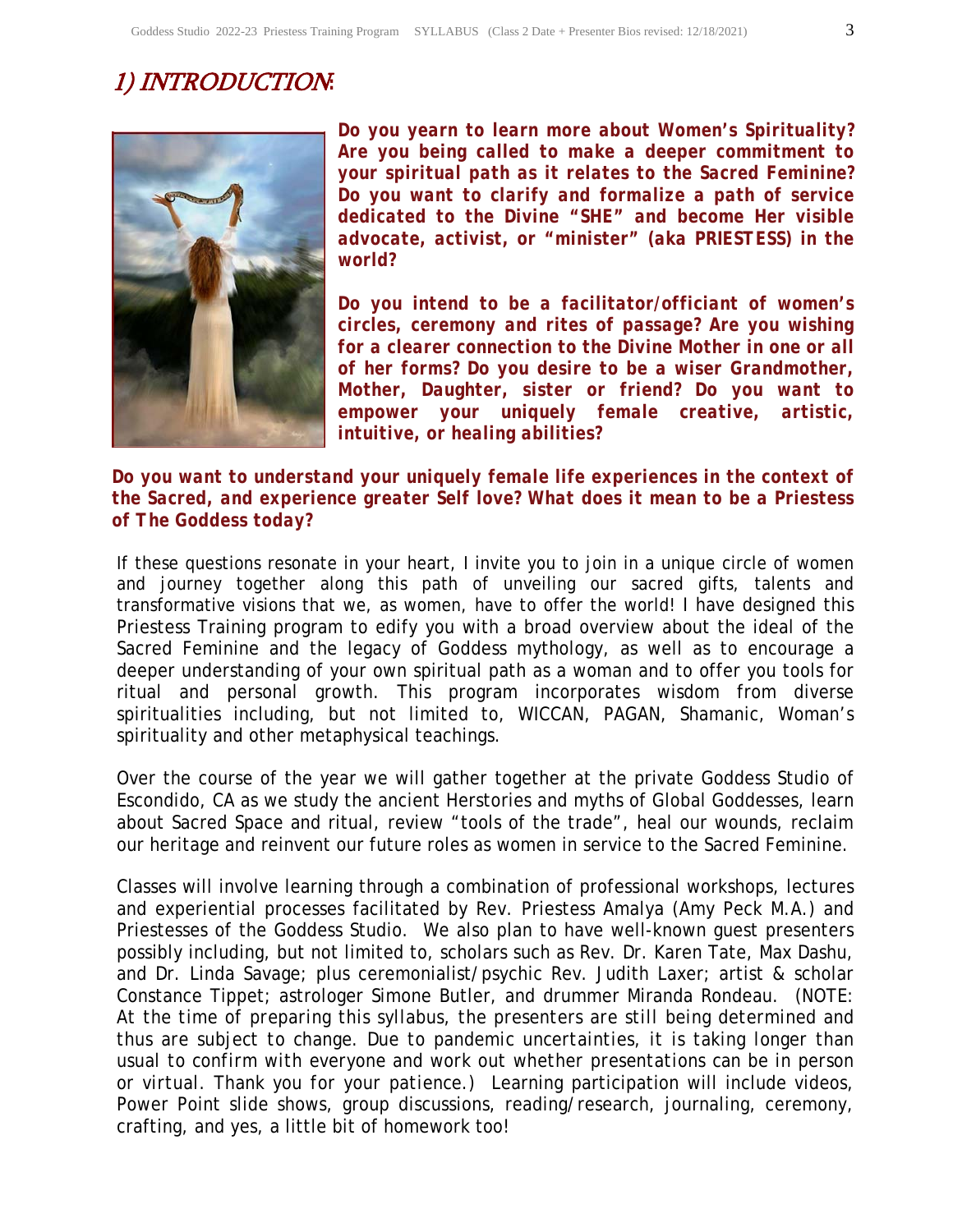# 1) INTRODUCTION*:*



*Do you yearn to learn more about Women's Spirituality? Are you being called to make a deeper commitment to your spiritual path as it relates to the Sacred Feminine? Do you want to clarify and formalize a path of service dedicated to the Divine "SHE" and become Her visible advocate, activist, or "minister" (aka PRIESTESS) in the world?* 

*Do you intend to be a facilitator/officiant of women's circles, ceremony and rites of passage? Are you wishing for a clearer connection to the Divine Mother in one or all of her forms? Do you desire to be a wiser Grandmother, Mother, Daughter, sister or friend? Do you want to empower your uniquely female creative, artistic, intuitive, or healing abilities?* 

#### *Do you want to understand your uniquely female life experiences in the context of the Sacred, and experience greater Self love? What does it mean to be a Priestess of The Goddess today?*

If these questions resonate in your heart, I invite you to join in a unique circle of women and journey together along this path of unveiling our sacred gifts, talents and transformative visions that we, as women, have to offer the world! I have designed this Priestess Training program to edify you with a broad overview about the ideal of the Sacred Feminine and the legacy of Goddess mythology, as well as to encourage a deeper understanding of your own spiritual path as a woman and to offer you tools for ritual and personal growth. This program incorporates wisdom from diverse spiritualities including, but not limited to, WICCAN, PAGAN, Shamanic, Woman's spirituality and other metaphysical teachings.

Over the course of the year we will gather together at the private Goddess Studio of Escondido, CA as we study the ancient Herstories and myths of Global Goddesses, learn about Sacred Space and ritual, review "tools of the trade", heal our wounds, reclaim our heritage and reinvent our future roles as women in service to the Sacred Feminine.

Classes will involve learning through a combination of professional workshops, lectures and experiential processes facilitated by Rev. Priestess Amalya (Amy Peck M.A.) and Priestesses of the Goddess Studio. We also plan to have well-known guest presenters possibly including, but not limited to, scholars such as Rev. Dr. Karen Tate, Max Dashu, and Dr. Linda Savage; plus ceremonialist/psychic Rev. Judith Laxer; artist & scholar Constance Tippet; astrologer Simone Butler, and drummer Miranda Rondeau. *(NOTE: At the time of preparing this syllabus, the presenters are still being determined and thus are subject to change. Due to pandemic uncertainties, it is taking longer than usual to confirm with everyone and work out whether presentations can be in person or virtual. Thank you for your patience.)* Learning participation will include videos, Power Point slide shows, group discussions, reading/research, journaling, ceremony, crafting, and yes, a little bit of homework too!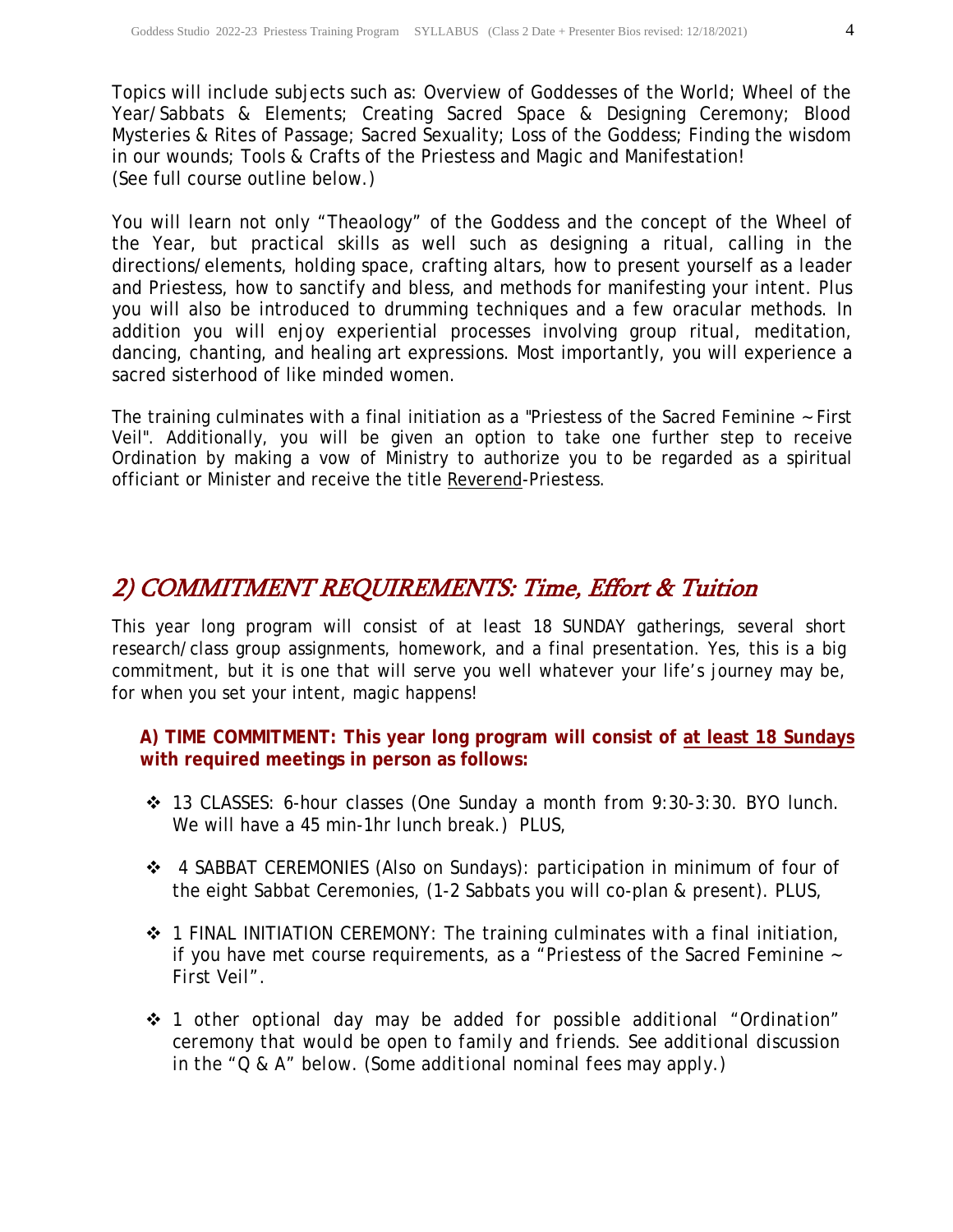Topics will include subjects such as: Overview of Goddesses of the World; Wheel of the Year/Sabbats & Elements; Creating Sacred Space & Designing Ceremony; Blood Mysteries & Rites of Passage; Sacred Sexuality; Loss of the Goddess; Finding the wisdom in our wounds; Tools & Crafts of the Priestess and Magic and Manifestation! (See full course outline below.)

You will learn not only "Theaology" of the Goddess and the concept of the Wheel of the Year, but practical skills as well such as designing a ritual, calling in the directions/elements, holding space, crafting altars, how to present yourself as a leader and Priestess, how to sanctify and bless, and methods for manifesting your intent. Plus you will also be introduced to drumming techniques and a few oracular methods. In addition you will enjoy experiential processes involving group ritual, meditation, dancing, chanting, and healing art expressions. Most importantly, you will experience a sacred sisterhood of like minded women.

The training culminates with a final initiation as a "Priestess of the Sacred Feminine ~ First Veil". Additionally, you will be given an option to take one further step to receive Ordination by making a vow of Ministry to authorize you to be regarded as a spiritual officiant or Minister and receive the title *Reverend*-Priestess.

### 2) COMMITMENT REQUIREMENTS: Time, Effort & Tuition

This year long program will consist of at least 18 SUNDAY gatherings, several short research/class group assignments, homework, and a final presentation. Yes, this is a big commitment, but it is one that will serve you well whatever your life's journey may be, for when you set your intent, magic happens!

#### **A) TIME COMMITMENT: This year long program will consist of at least 18 Sundays with required meetings in person as follows:**

- 13 CLASSES: 6-hour classes (One Sunday a month from 9:30-3:30. BYO lunch. We will have a 45 min-1hr lunch break.) PLUS,
- 4 SABBAT CEREMONIES (Also on Sundays): participation in minimum of four of the eight Sabbat Ceremonies, (1-2 Sabbats you will co-plan & present). PLUS,
- 1 FINAL INITIATION CEREMONY: The training culminates with a final initiation, if you have met course requirements, as a *"Priestess of the Sacred Feminine ~ First Veil"*.
- *1 other optional day may be added for possible additional "Ordination" ceremony that would be open to family and friends. See additional discussion in the "Q & A" below. (Some additional nominal fees may apply.)*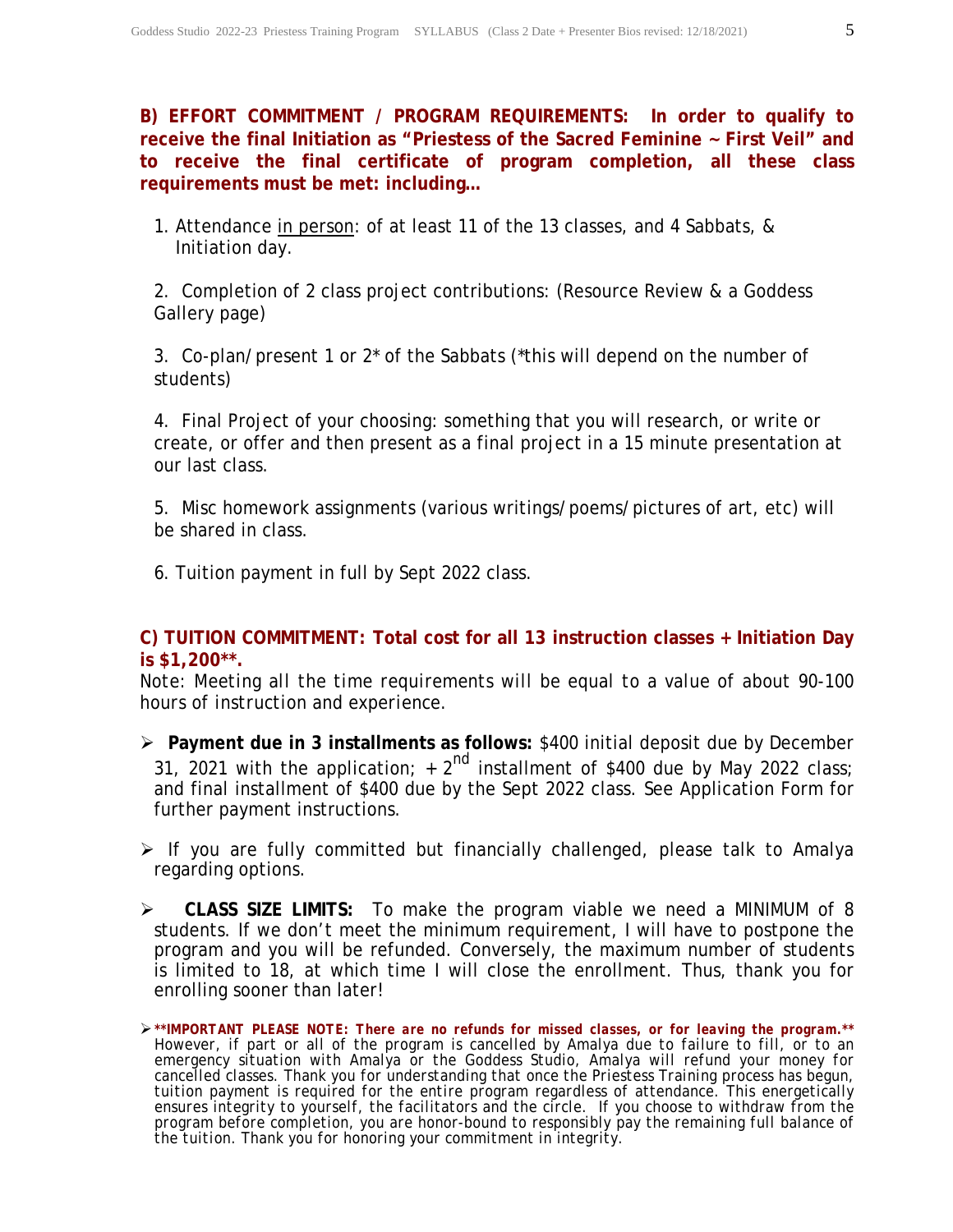**B) EFFORT COMMITMENT / PROGRAM REQUIREMENTS: In order to qualify to receive the final Initiation as "Priestess of the Sacred Feminine ~ First Veil" and to receive the final certificate of program completion, all these class requirements must be met: including…**

1. Attendance in person: of at least 11 of the 13 classes, and 4 Sabbats, & Initiation day.

2. Completion of 2 class project contributions: (Resource Review & a Goddess Gallery page)

3. Co-plan/present 1 or 2\* of the Sabbats (\*this will depend on the number of students)

4. Final Project of your choosing: something that you will research, or write or create, or offer and then present as a final project in a 15 minute presentation at our last class.

5. Misc homework assignments (various writings/poems/pictures of art, etc) will be shared in class.

6. Tuition payment in full by Sept 2022 class.

#### **C) TUITION COMMITMENT: Total cost for all 13 instruction classes + Initiation Day is \$1,200\*\*.**

*Note: Meeting all the time requirements will be equal to a value of about 90-100 hours of instruction and experience*.

- **Payment due in 3 installments as follows:** \$400 initial deposit due by December 31, 2021 with the application;  $+ 2^{nd}$  installment of \$400 due by May 2022 class; and final installment of \$400 due by the Sept 2022 class. See Application Form for further payment instructions.
- $\triangleright$  If you are fully committed but financially challenged, please talk to Amalya regarding options.
- **CLASS SIZE LIMITS:** To make the program viable we need a MINIMUM of 8 students. If we don't meet the minimum requirement, I will have to postpone the program and you will be refunded. Conversely, the maximum number of students is limited to 18, at which time I will close the enrollment. Thus, thank you for enrolling sooner than later!

*<sup>\*\*</sup>IMPORTANT PLEASE NOTE: There are no refunds for missed classes, or for leaving the program.\*\* However, if part or all of the program is cancelled by Amalya due to failure to fill, or to an emergency situation with Amalya or the Goddess Studio, Amalya will refund your money for cancelled classes. Thank you for understanding that once the Priestess Training process has begun, tuition payment is required for the entire program regardless of attendance. This energetically ensures integrity to yourself, the facilitators and the circle. If you choose to withdraw from the program before completion, you are honor-bound to responsibly pay the remaining full balance of the tuition. Thank you for honoring your commitment in integrity.*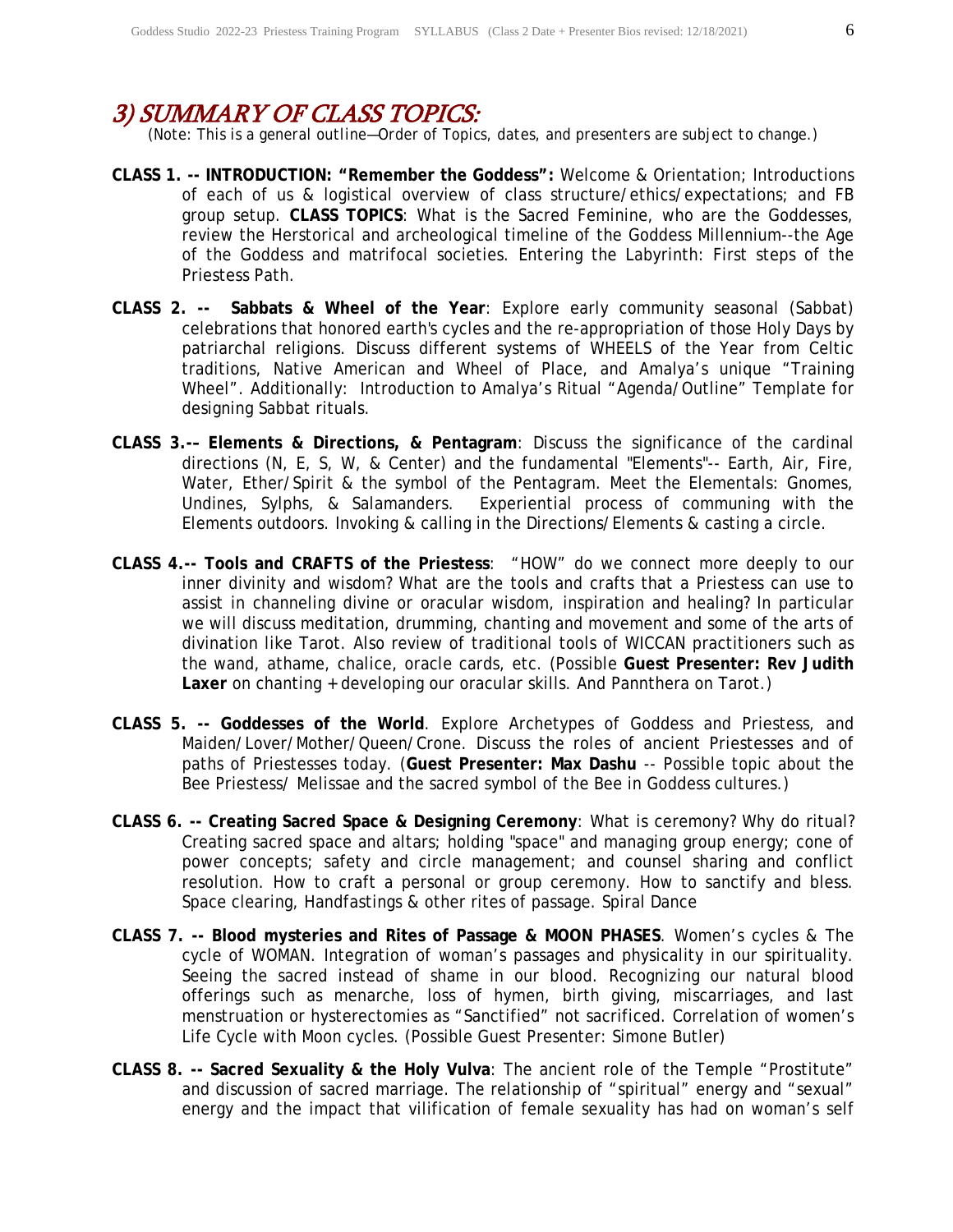### 3) SUMMARY OF CLASS TOPICS:

*(Note: This is a general outline—Order of Topics, dates, and presenters are subject to change.)*

- **CLASS 1. -- INTRODUCTION: "Remember the Goddess":** Welcome & Orientation; Introductions of each of us & logistical overview of class structure/ethics/expectations; and FB group setup. **CLASS TOPICS**: What is the Sacred Feminine, who are the Goddesses, review the Herstorical and archeological timeline of the Goddess Millennium--the Age of the Goddess and matrifocal societies. Entering the Labyrinth: First steps of the Priestess Path.
- **CLASS 2. -- Sabbats & Wheel of the Year**: Explore early community seasonal (Sabbat) celebrations that honored earth's cycles and the re-appropriation of those Holy Days by patriarchal religions. Discuss different systems of WHEELS of the Year from Celtic traditions, Native American and Wheel of Place, and Amalya's unique "Training Wheel". Additionally: Introduction to Amalya's Ritual "Agenda/Outline" Template for designing Sabbat rituals.
- **CLASS 3.-– Elements & Directions, & Pentagram**: Discuss the significance of the cardinal directions (N, E, S, W, & Center) and the fundamental "Elements"-- Earth, Air, Fire, Water, Ether/Spirit & the symbol of the Pentagram. Meet the Elementals: Gnomes, Undines, Sylphs, & Salamanders. Experiential process of communing with the Elements outdoors. Invoking & calling in the Directions/Elements & casting a circle.
- **CLASS 4.-- Tools and CRAFTS of the Priestess**: "HOW" do we connect more deeply to our inner divinity and wisdom? What are the tools and crafts that a Priestess can use to assist in channeling divine or oracular wisdom, inspiration and healing? In particular we will discuss meditation, drumming, chanting and movement and some of the arts of divination like Tarot. Also review of traditional tools of WICCAN practitioners such as the wand, athame, chalice, oracle cards, etc. (Possible **Guest Presenter: Rev Judith Laxer** on chanting + developing our oracular skills. And Pannthera on Tarot.)
- **CLASS 5. -- Goddesses of the World**. Explore Archetypes of Goddess and Priestess, and Maiden/Lover/Mother/Queen/Crone. Discuss the roles of ancient Priestesses and of paths of Priestesses today. (**Guest Presenter: Max Dashu** -- Possible topic about the Bee Priestess/ Melissae and the sacred symbol of the Bee in Goddess cultures.)
- **CLASS 6. -- Creating Sacred Space & Designing Ceremony**: What is ceremony? Why do ritual? Creating sacred space and altars; holding "space" and managing group energy; cone of power concepts; safety and circle management; and counsel sharing and conflict resolution. How to craft a personal or group ceremony. How to sanctify and bless. Space clearing, Handfastings & other rites of passage. Spiral Dance
- **CLASS 7. -- Blood mysteries and Rites of Passage & MOON PHASES**. Women's cycles & The cycle of WOMAN. Integration of woman's passages and physicality in our spirituality. Seeing the sacred instead of shame in our blood. Recognizing our natural blood offerings such as menarche, loss of hymen, birth giving, miscarriages, and last menstruation or hysterectomies as "Sanctified" not sacrificed. Correlation of women's Life Cycle with Moon cycles. (Possible Guest Presenter: Simone Butler)
- **CLASS 8. -- Sacred Sexuality & the Holy Vulva**: The ancient role of the Temple "Prostitute" and discussion of sacred marriage. The relationship of "spiritual" energy and "sexual" energy and the impact that vilification of female sexuality has had on woman's self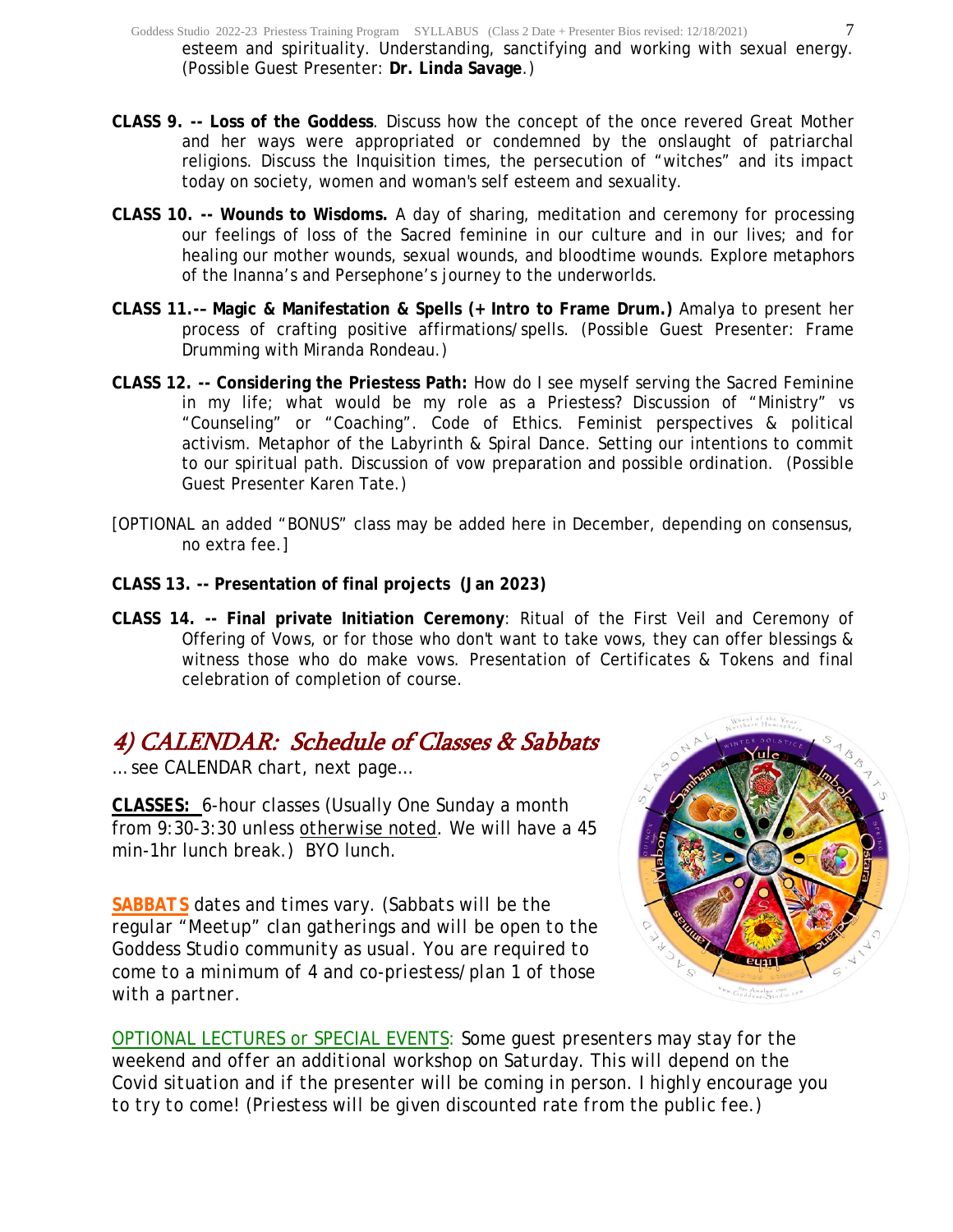- **CLASS 9. -- Loss of the Goddess**. Discuss how the concept of the once revered Great Mother and her ways were appropriated or condemned by the onslaught of patriarchal religions. Discuss the Inquisition times, the persecution of "witches" and its impact today on society, women and woman's self esteem and sexuality.
- **CLASS 10. -- Wounds to Wisdoms.** A day of sharing, meditation and ceremony for processing our feelings of loss of the Sacred feminine in our culture and in our lives; and for healing our mother wounds, sexual wounds, and bloodtime wounds. Explore metaphors of the Inanna's and Persephone's journey to the underworlds.
- **CLASS 11.-– Magic & Manifestation & Spells (+ Intro to Frame Drum.)** Amalya to present her process of crafting positive affirmations/spells. (Possible Guest Presenter: Frame Drumming with Miranda Rondeau.)
- **CLASS 12. -- Considering the Priestess Path:** How do I see myself serving the Sacred Feminine in my life; what would be my role as a Priestess? Discussion of "Ministry" vs "Counseling" or "Coaching". Code of Ethics. Feminist perspectives & political activism. Metaphor of the Labyrinth & Spiral Dance. Setting our intentions to commit to our spiritual path. Discussion of vow preparation and possible ordination. (Possible Guest Presenter Karen Tate.)
- [OPTIONAL an added "BONUS" class may be added here in December, depending on consensus, no extra fee.]
- **CLASS 13. -- Presentation of final projects (Jan 2023)**
- **CLASS 14. -- Final private Initiation Ceremony**: Ritual of the First Veil and Ceremony of Offering of Vows, or for those who don't want to take vows, they can offer blessings & witness those who do make vows. Presentation of Certificates & Tokens and final celebration of completion of course.

# 4) CALENDAR: Schedule of Classes & Sabbats

*… see CALENDAR chart, next page…*

*CLASSES:* 6-hour classes (Usually One Sunday a month from 9:30-3:30 *unless otherwise noted*. We will have a 45 min-1hr lunch break.) BYO lunch.

*SABBATS dates and times vary. (Sabbats will be the regular "Meetup" clan gatherings and will be open to the Goddess Studio community as usual. You are required to come to a minimum of 4 and co-priestess/plan 1 of those with a partner.* 



*OPTIONAL LECTURES or SPECIAL EVENTS: Some guest presenters may stay for the weekend and offer an additional workshop on Saturday. This will depend on the Covid situation and if the presenter will be coming in person. I highly encourage you to try to come! (Priestess will be given discounted rate from the public fee.)*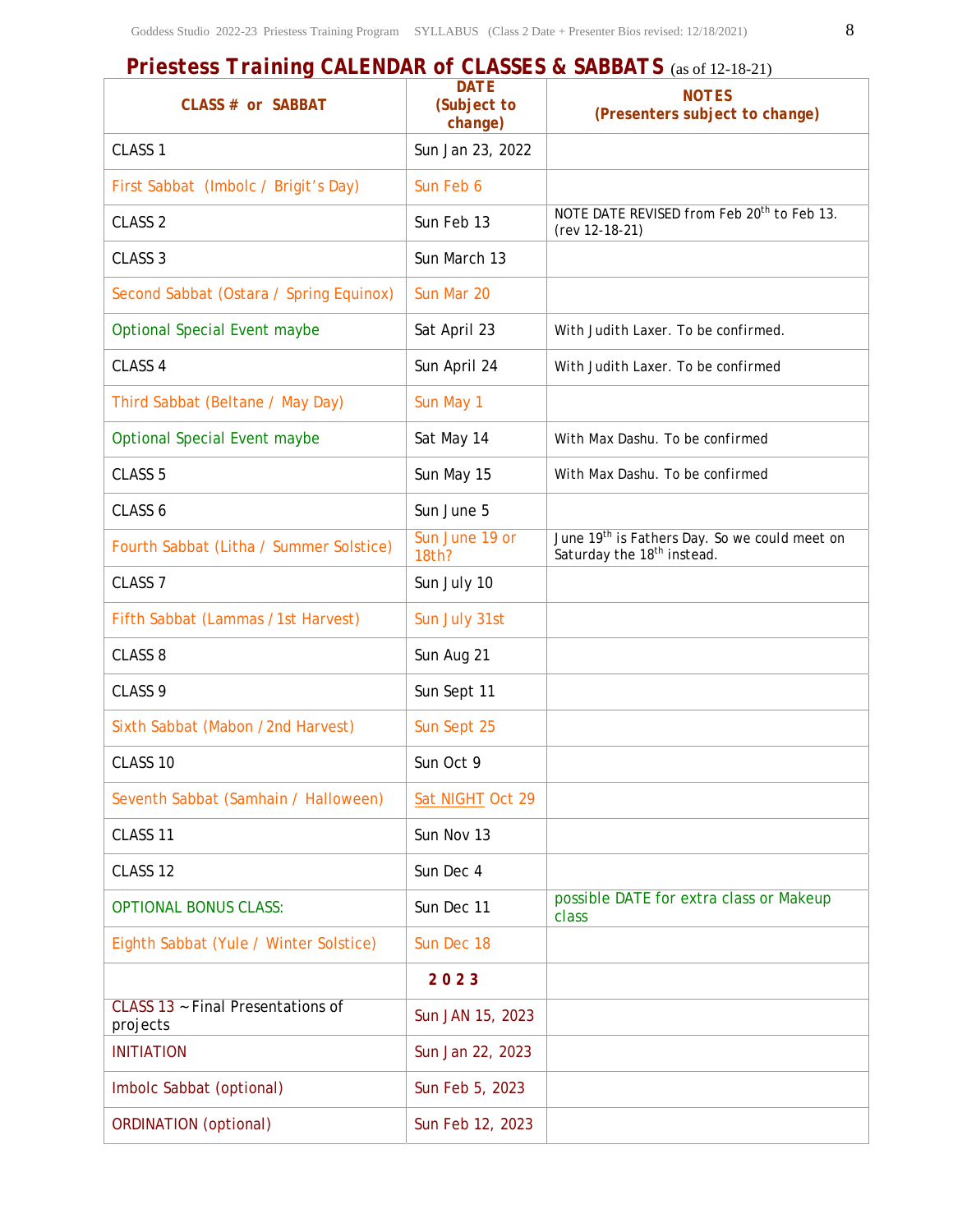# *Priestess Training CALENDAR of CLASSES & SABBATS* (as of 12-18-21)

| CLASS # or SABBAT                             | <b>DATE</b><br>(Subject to<br>change) | <b>NOTES</b><br>(Presenters subject to change)                                                      |
|-----------------------------------------------|---------------------------------------|-----------------------------------------------------------------------------------------------------|
| CLASS <sub>1</sub>                            | Sun Jan 23, 2022                      |                                                                                                     |
| First Sabbat (Imbolc / Brigit's Day)          | Sun Feb 6                             |                                                                                                     |
| CLASS <sub>2</sub>                            | Sun Feb 13                            | NOTE DATE REVISED from Feb 20 <sup>th</sup> to Feb 13.<br>(rev 12-18-21)                            |
| CLASS <sub>3</sub>                            | Sun March 13                          |                                                                                                     |
| Second Sabbat (Ostara / Spring Equinox)       | Sun Mar 20                            |                                                                                                     |
| <b>Optional Special Event maybe</b>           | Sat April 23                          | With Judith Laxer. To be confirmed.                                                                 |
| CLASS 4                                       | Sun April 24                          | With Judith Laxer. To be confirmed                                                                  |
| Third Sabbat (Beltane / May Day)              | Sun May 1                             |                                                                                                     |
| <b>Optional Special Event maybe</b>           | Sat May 14                            | With Max Dashu. To be confirmed                                                                     |
| CLASS <sub>5</sub>                            | Sun May 15                            | With Max Dashu. To be confirmed                                                                     |
| CLASS 6                                       | Sun June 5                            |                                                                                                     |
| Fourth Sabbat (Litha / Summer Solstice)       | Sun June 19 or<br>18th?               | June 19 <sup>th</sup> is Fathers Day. So we could meet on<br>Saturday the 18 <sup>th</sup> instead. |
| CLASS <sub>7</sub>                            | Sun July 10                           |                                                                                                     |
| Fifth Sabbat (Lammas /1st Harvest)            | Sun July 31st                         |                                                                                                     |
| CLASS <sub>8</sub>                            | Sun Aug 21                            |                                                                                                     |
| CLASS <sub>9</sub>                            | Sun Sept 11                           |                                                                                                     |
| Sixth Sabbat (Mabon /2nd Harvest)             | Sun Sept 25                           |                                                                                                     |
| CLASS 10                                      | Sun Oct 9                             |                                                                                                     |
| Seventh Sabbat (Samhain / Halloween)          | Sat NIGHT Oct 29                      |                                                                                                     |
| CLASS 11                                      | Sun Nov 13                            |                                                                                                     |
| CLASS 12                                      | Sun Dec 4                             |                                                                                                     |
| <b>OPTIONAL BONUS CLASS:</b>                  | Sun Dec 11                            | possible DATE for extra class or Makeup<br>class                                                    |
| Eighth Sabbat (Yule / Winter Solstice)        | Sun Dec 18                            |                                                                                                     |
|                                               | 2023                                  |                                                                                                     |
| CLASS 13 ~ Final Presentations of<br>projects | Sun JAN 15, 2023                      |                                                                                                     |
| <b>INITIATION</b>                             | Sun Jan 22, 2023                      |                                                                                                     |
| Imbolc Sabbat (optional)                      | Sun Feb 5, 2023                       |                                                                                                     |
| <b>ORDINATION</b> (optional)                  | Sun Feb 12, 2023                      |                                                                                                     |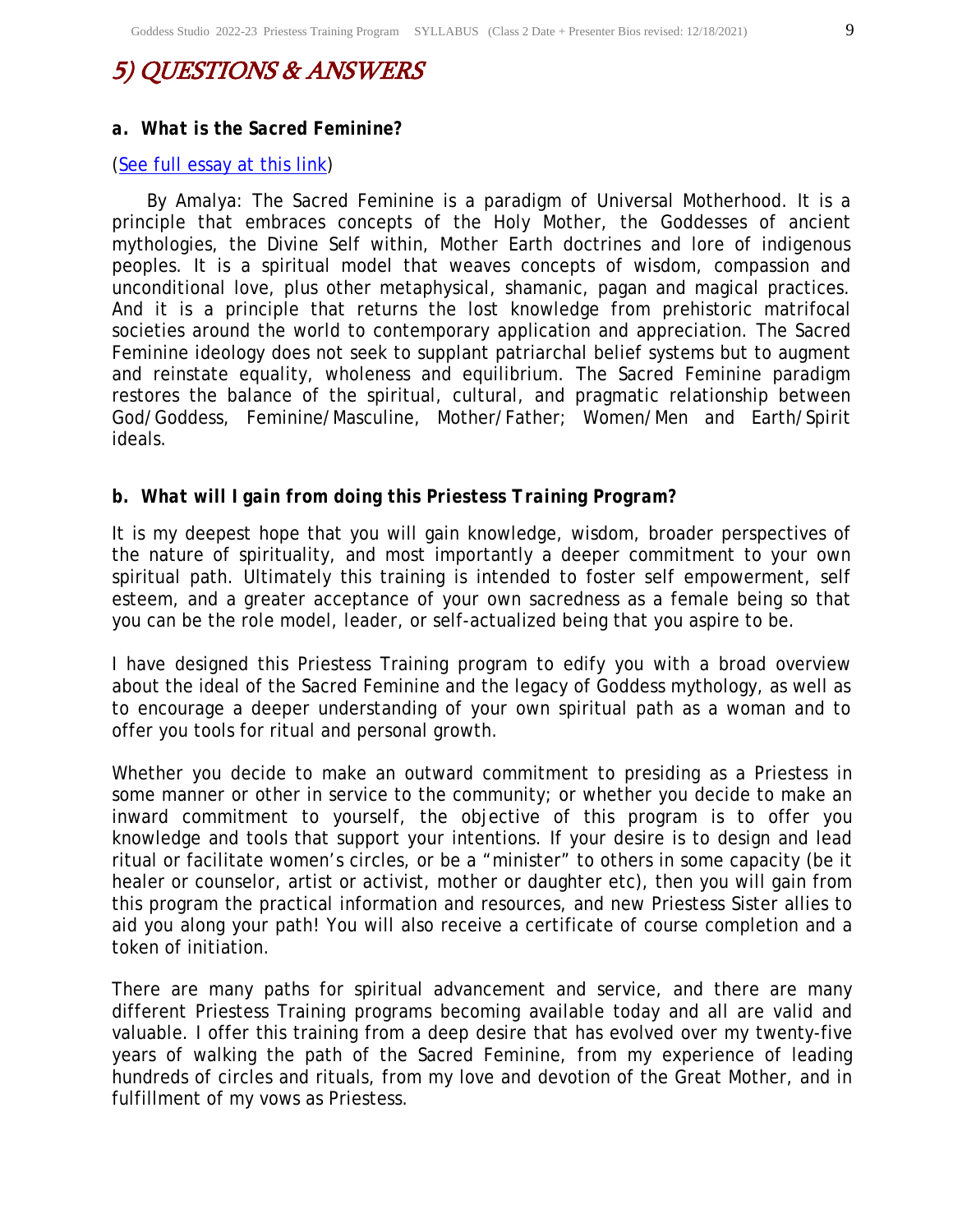# 5) QUESTIONS & ANSWERS

#### *a. What is the Sacred Feminine?*

#### (See full essay at this link)

By Amalya: The Sacred Feminine is a paradigm of Universal Motherhood. It is a principle that embraces concepts of the Holy Mother, the Goddesses of ancient mythologies, the Divine Self within, Mother Earth doctrines and lore of indigenous peoples. It is a spiritual model that weaves concepts of wisdom, compassion and unconditional love, plus other metaphysical, shamanic, pagan and magical practices. And it is a principle that returns the lost knowledge from prehistoric matrifocal societies around the world to contemporary application and appreciation. The Sacred Feminine ideology does not seek to supplant patriarchal belief systems but to augment and reinstate equality, wholeness and equilibrium. The Sacred Feminine paradigm restores the balance of the spiritual, cultural, and pragmatic relationship between God/Goddess, Feminine/Masculine, Mother/Father; Women/Men and Earth/Spirit ideals.

#### *b. What will I gain from doing this Priestess Training Program?*

It is my deepest hope that you will gain knowledge, wisdom, broader perspectives of the nature of spirituality, and most importantly a deeper commitment to your own spiritual path. Ultimately this training is intended to foster self empowerment, self esteem, and a greater acceptance of your own sacredness as a female being so that you can be the role model, leader, or self-actualized being that you aspire to be.

I have designed this Priestess Training program to edify you with a broad overview about the ideal of the Sacred Feminine and the legacy of Goddess mythology, as well as to encourage a deeper understanding of your own spiritual path as a woman and to offer you tools for ritual and personal growth.

Whether you decide to make an outward commitment to presiding as a Priestess in some manner or other in service to the community; or whether you decide to make an inward commitment to yourself, the objective of this program is to offer you knowledge and tools that support your intentions. If your desire is to design and lead ritual or facilitate women's circles, or be a "minister" to others in some capacity (be it healer or counselor, artist or activist, mother or daughter etc), then you will gain from this program the practical information and resources, and new Priestess Sister allies to aid you along your path! You will also receive a certificate of course completion and a token of initiation.

There are many paths for spiritual advancement and service, and there are many different Priestess Training programs becoming available today and all are valid and valuable. I offer this training from a deep desire that has evolved over my twenty-five years of walking the path of the Sacred Feminine, from my experience of leading hundreds of circles and rituals, from my love and devotion of the Great Mother, and in fulfillment of my vows as Priestess.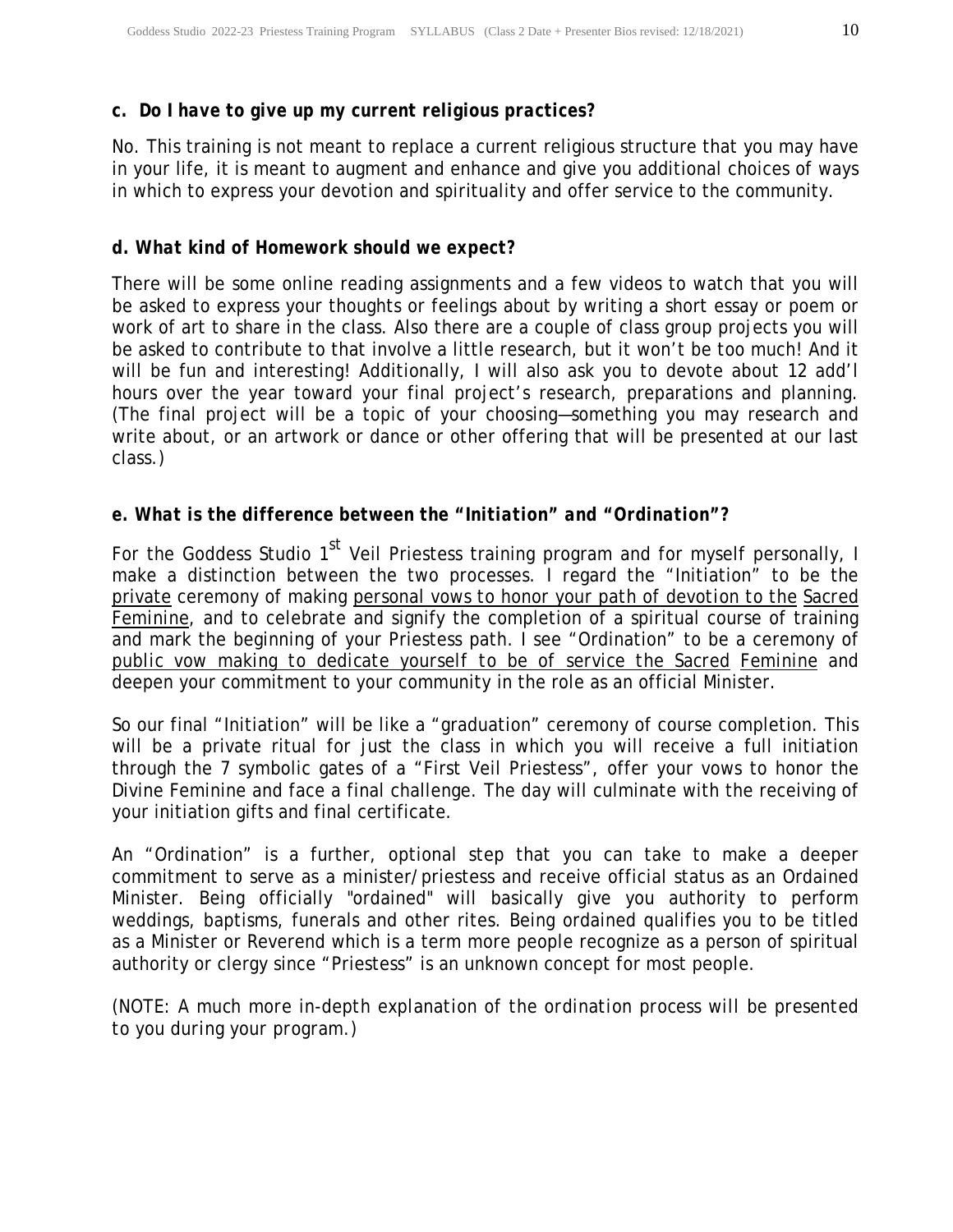### *c. Do I have to give up my current religious practices?*

No. This training is not meant to replace a current religious structure that you may have in your life, it is meant to augment and enhance and give you additional choices of ways in which to express your devotion and spirituality and offer service to the community.

#### *d. What kind of Homework should we expect?*

There will be some online reading assignments and a few videos to watch that you will be asked to express your thoughts or feelings about by writing a short essay or poem or work of art to share in the class. Also there are a couple of class group projects you will be asked to contribute to that involve a little research, but it won't be too much! And it will be fun and interesting! Additionally, I will also ask you to devote about 12 add'l hours over the year toward your final project's research, preparations and planning. (The final project will be a topic of your choosing—something you may research and write about, or an artwork or dance or other offering that will be presented at our last class.)

#### *e. What is the difference between the "Initiation" and "Ordination"?*

For the Goddess Studio  $1<sup>st</sup>$  Veil Priestess training program and for myself personally, I make a distinction between the two processes. I regard the "Initiation" to be the private ceremony of making *personal vows to honor your path of devotion to the Sacred Feminine*, and to celebrate and signify the completion of a spiritual course of training and mark the beginning of your Priestess path. I see "Ordination" to be a ceremony of *public vow making to dedicate yourself to be of service the Sacred Feminine* and deepen your commitment to your community in the role as an official Minister.

So our final "Initiation" will be like a "graduation" ceremony of course completion. This will be a private ritual for just the class in which you will receive a full initiation through the 7 symbolic gates of a "First Veil Priestess", offer your vows to honor the Divine Feminine and face a final challenge. The day will culminate with the receiving of your initiation gifts and final certificate.

An "Ordination" is a further, optional step that you can take to make a deeper commitment to serve as a minister/priestess and receive official status as an Ordained Minister. Being officially "ordained" will basically give you authority to perform weddings, baptisms, funerals and other rites. Being ordained qualifies you to be titled as a Minister or Reverend which is a term more people recognize as a person of spiritual authority or clergy since "Priestess" is an unknown concept for most people.

*(NOTE: A much more in-depth explanation of the ordination process will be presented to you during your program.)*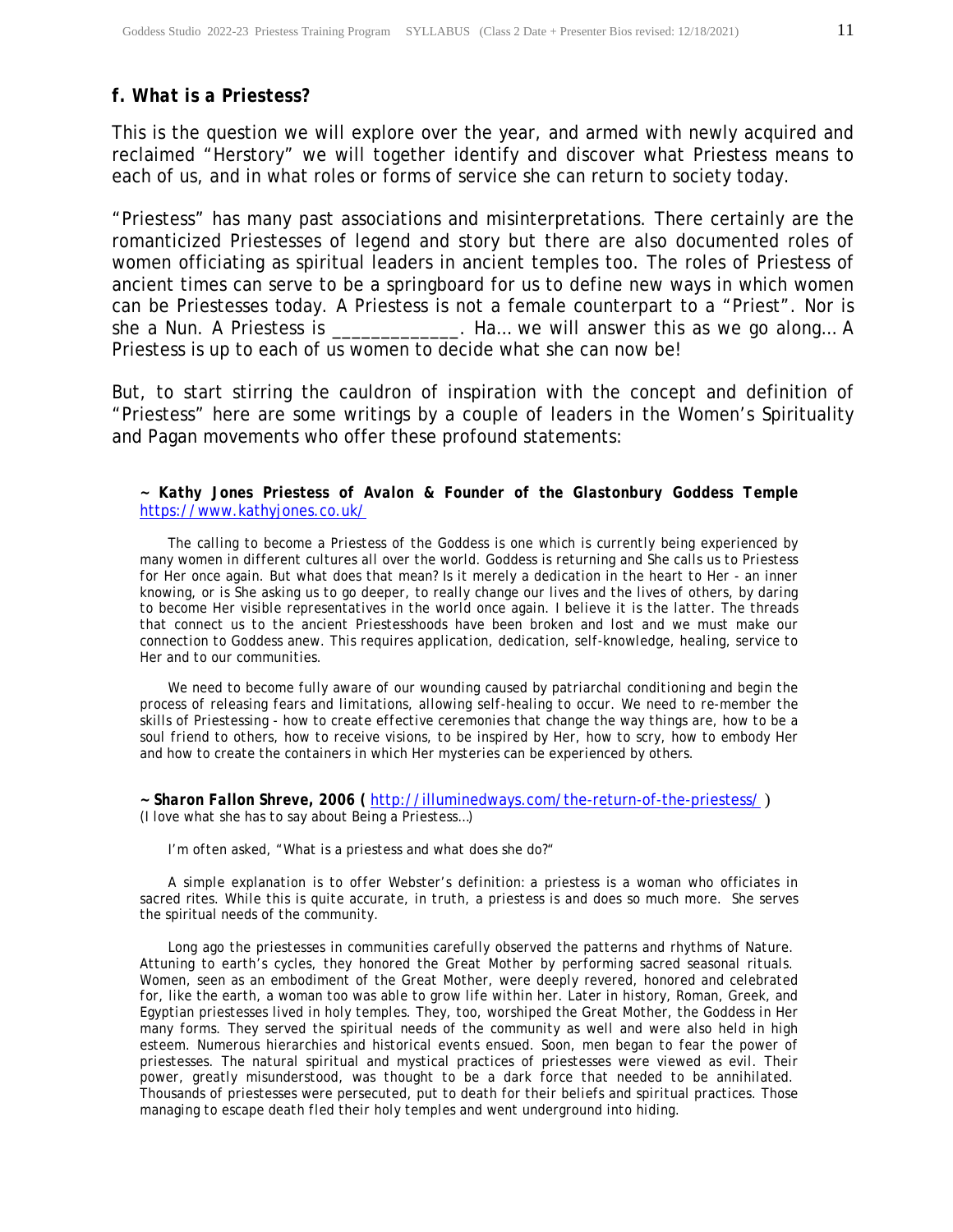#### *f. What is a Priestess?*

This is the question we will explore over the year, and armed with newly acquired and reclaimed "Herstory" we will together identify and discover what Priestess means to each of us, and in what roles or forms of service she can return to society today.

"Priestess" has many past associations and misinterpretations. There certainly are the romanticized Priestesses of legend and story but there are also documented roles of women officiating as spiritual leaders in ancient temples too. The roles of Priestess of ancient times can serve to be a springboard for us to define new ways in which women can be Priestesses today. A Priestess is not a female counterpart to a "Priest". Nor is she a Nun. A Priestess is \_\_\_\_\_\_\_\_\_\_\_\_\_. Ha... we will answer this as we go along... A Priestess is up to each of us women to decide what she can now be!

But, to start stirring the cauldron of inspiration with the concept and definition of "Priestess" here are some writings by a couple of leaders in the Women's Spirituality and Pagan movements who offer these profound statements:

#### *~ Kathy Jones Priestess of Avalon & Founder of the Glastonbury Goddess Temple*  https://www.kathyjones.co.uk/

 *The calling to become a Priestess of the Goddess is one which is currently being experienced by many women in different cultures all over the world. Goddess is returning and She calls us to Priestess for Her once again. But what does that mean? Is it merely a dedication in the heart to Her - an inner knowing, or is She asking us to go deeper, to really change our lives and the lives of others, by daring to become Her visible representatives in the world once again. I believe it is the latter. The threads that connect us to the ancient Priestesshoods have been broken and lost and we must make our connection to Goddess anew. This requires application, dedication, self-knowledge, healing, service to Her and to our communities.*

 *We need to become fully aware of our wounding caused by patriarchal conditioning and begin the process of releasing fears and limitations, allowing self-healing to occur. We need to re-member the skills of Priestessing - how to create effective ceremonies that change the way things are, how to be a soul friend to others, how to receive visions, to be inspired by Her, how to scry, how to embody Her and how to create the containers in which Her mysteries can be experienced by others.*

*~ Sharon Fallon Shreve, 2006 (* http://illuminedways.com/the-return-of-the-priestess/ ) *(I love what she has to say about Being a Priestess…)* 

 *I'm often asked, "What is a priestess and what does she do?"* 

 *A simple explanation is to offer Webster's definition:* a priestess is a woman who officiates in sacred rites. *While this is quite accurate, in truth, a priestess is and does so much more. She serves the* spiritual *needs of the community.* 

 *Long ago the priestesses in communities carefully observed the patterns and rhythms of Nature. Attuning to earth's cycles, they honored the Great Mother by performing sacred seasonal rituals. Women, seen as an embodiment of the Great Mother, were deeply revered, honored and celebrated*  for, like the earth, a woman too was able to grow life within her. Later in history, Roman, Greek, and *Egyptian priestesses lived in holy temples. They, too, worshiped the Great Mother, the Goddess in Her many forms. They served the spiritual needs of the community as well and were also held in high esteem. Numerous hierarchies and historical events ensued. Soon, men began to fear the power of priestesses. The natural spiritual and mystical practices of priestesses were viewed as evil. Their power, greatly misunderstood, was thought to be a dark force that needed to be annihilated. Thousands of priestesses were persecuted, put to death for their beliefs and spiritual practices. Those managing to escape death fled their holy temples and went underground into hiding.*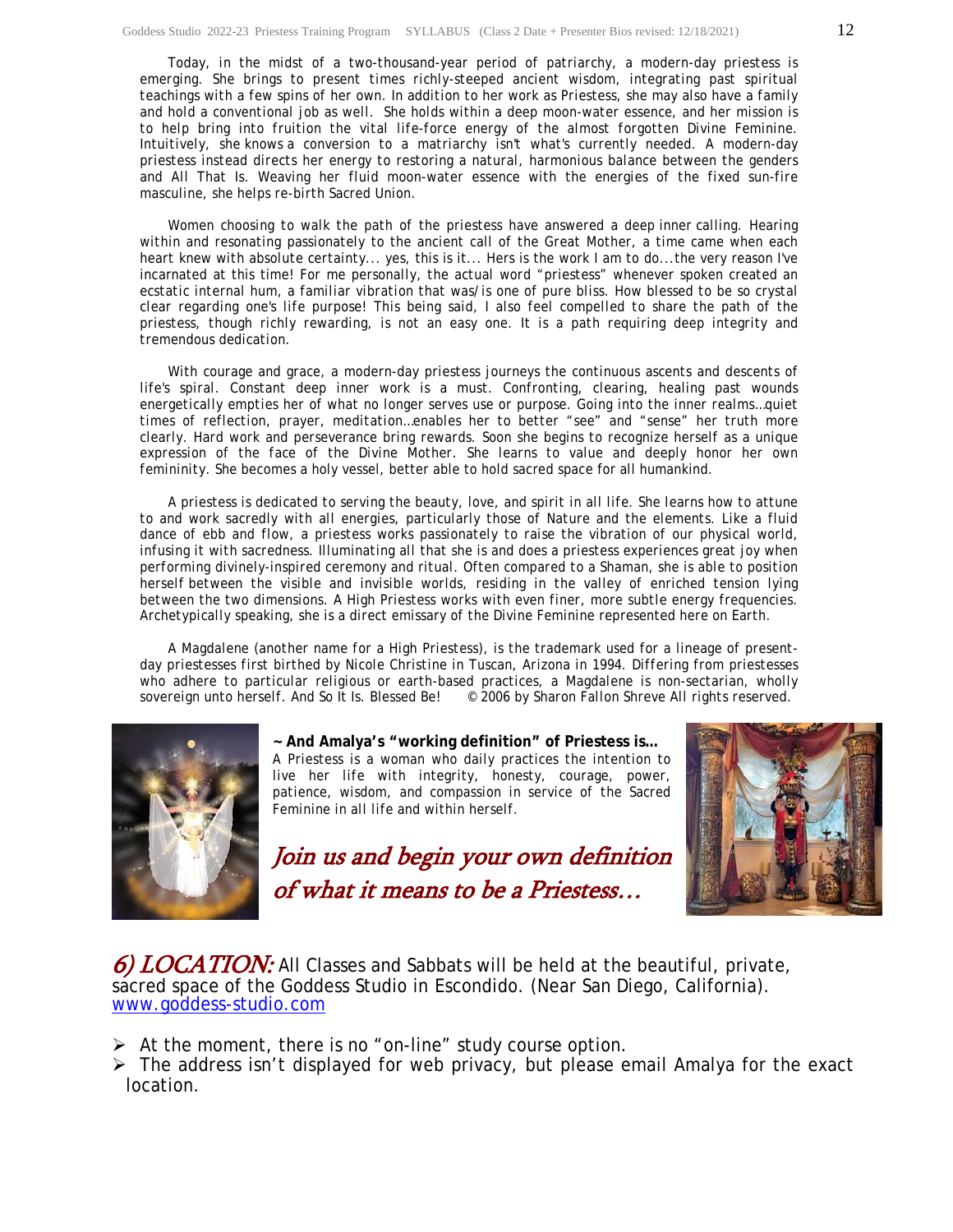*Today, in the midst of a two-thousand-year period of patriarchy, a modern-day priestess is emerging. She brings to present times richly-steeped ancient wisdom, integrating past spiritual teachings with a few spins of her own. In addition to her work as Priestess, she may also have a family and hold a conventional job as well. She holds within a deep moon-water essence, and her mission is*  to help bring into fruition the vital life-force energy of the almost forgotten Divine Feminine. *Intuitively, she* knows *a conversion to a matriarchy isn't what's currently needed. A modern-day priestess instead directs her energy to restoring a natural, harmonious balance between the genders and All That Is. Weaving her fluid moon-water essence with the energies of the fixed sun-fire masculine, she helps re-birth Sacred Union.* 

*Women choosing to walk the path of the priestess have answered a deep* inner *calling. Hearing within and resonating passionately to the ancient call of the Great Mother, a time came when each heart knew with absolute certainty...* yes, this is it... Hers is the work I am to do...the very reason I've incarnated at this time*! For me personally, the actual word "priestess" whenever spoken created an ecstatic internal hum, a familiar vibration that was/is one of pure bliss. How blessed to be so crystal clear regarding one's life purpose! This being said, I also feel compelled to share the path of the priestess, though richly rewarding, is not an easy one. It is a path requiring deep integrity and tremendous dedication.* 

 *With courage and grace, a modern-day priestess journeys the continuous ascents and descents of life's spiral. Constant deep inner work is a must. Confronting, clearing, healing past wounds energetically empties her of what no longer serves use or purpose. Going into the inner realms…quiet times of reflection, prayer, meditation…enables her to better "see" and "sense" her truth more clearly. Hard work and perseverance bring rewards. Soon she begins to recognize herself as a unique expression of the face of the Divine Mother. She learns to value and deeply honor her own femininity.* She becomes a holy vessel, better able to hold sacred space for all humankind.

 *A priestess is dedicated to serving the beauty, love, and spirit in all life. She learns how to attune to and work sacredly with all energies, particularly those of Nature and the elements. Like a fluid dance of ebb and flow, a priestess works passionately to raise the vibration of our physical world, infusing it with sacredness. Illuminating all that she is and does a priestess experiences great joy when performing divinely-inspired ceremony and ritual. Often compared to a Shaman, she is able to position herself between the visible and invisible worlds, residing in the valley of enriched tension lying between the two dimensions. A High Priestess works with even finer, more subtle energy frequencies. Archetypically speaking, she is a direct emissary of the Divine Feminine represented here on Earth.* 

 *A Magdalene (another name for a High Priestess), is the trademark used for a lineage of presentday priestesses first birthed by Nicole Christine in Tuscan, Arizona in 1994. Differing from priestesses who adhere to particular religious or earth-based practices, a Magdalene is non-sectarian, wholly sovereign unto herself.* And So It Is. Blessed Be! *© 2006 by Sharon Fallon Shreve All rights reserved.*



**~ And Amalya's "working definition" of Priestess is…** *A Priestess is a woman who daily practices the intention to live her life with integrity, honesty, courage, power, patience, wisdom, and compassion in service of the Sacred Feminine in all life and within herself.*

Join us and begin your own definition of what it means to be a Priestess…



6) LOCATION: All Classes and Sabbats will be held at the beautiful, private, sacred space of the Goddess Studio in Escondido. (Near San Diego, California). www.goddess-studio.com

 $\triangleright$  At the moment, there is no "on-line" study course option.

 $\triangleright$  The address isn't displayed for web privacy, but please email Amalya for the exact location.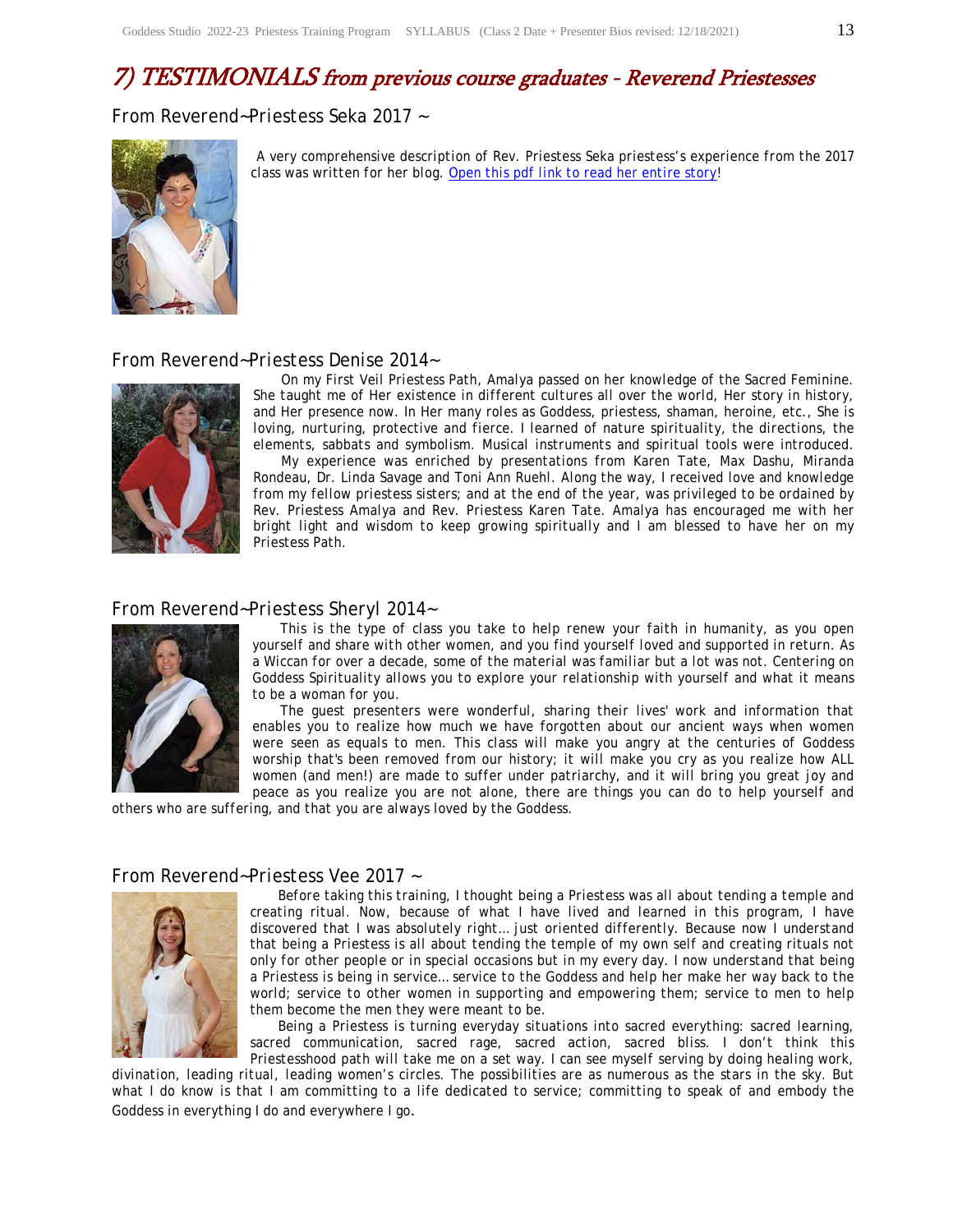### 7) TESTIMONIALS from previous course graduates - Reverend Priestesses

*From Reverend~Priestess Seka 2017 ~* 



*A very comprehensive description of Rev. Priestess Seka priestess's experience from the 2017 class was written for her blog. Open this pdf link to read her entire story!* 

#### *From Reverend~Priestess Denise 2014~*



 *On my First Veil Priestess Path, Amalya passed on her knowledge of the Sacred Feminine. She taught me of Her existence in different cultures all over the world, Her story in history, and Her presence now. In Her many roles as Goddess, priestess, shaman, heroine, etc., She is loving, nurturing, protective and fierce. I learned of nature spirituality, the directions, the elements, sabbats and symbolism. Musical instruments and spiritual tools were introduced. My experience was enriched by presentations from Karen Tate, Max Dashu, Miranda* 

*Rondeau, Dr. Linda Savage and Toni Ann Ruehl. Along the way, I received love and knowledge from my fellow priestess sisters; and at the end of the year, was privileged to be ordained by Rev. Priestess Amalya and Rev. Priestess Karen Tate. Amalya has encouraged me with her bright light and wisdom to keep growing spiritually and I am blessed to have her on my Priestess Path.* 

#### *From Reverend~Priestess Sheryl 2014~*



 *This is the type of class you take to help renew your faith in humanity, as you open yourself and share with other women, and you find yourself loved and supported in return. As a Wiccan for over a decade, some of the material was familiar but a lot was not. Centering on Goddess Spirituality allows you to explore your relationship with yourself and what it means to be a woman for you.* 

 *The guest presenters were wonderful, sharing their lives' work and information that*  enables you to realize how much we have forgotten about our ancient ways when women *were seen as equals to men. This class will make you angry at the centuries of Goddess worship that's been removed from our history; it will make you cry as you realize how ALL women (and men!) are made to suffer under patriarchy, and it will bring you great joy and peace as you realize you are not alone, there are things you can do to help yourself and* 

*others who are suffering, and that you are always loved by the Goddess.* 



*From Reverend~Priestess Vee 2017 ~ Before taking this training, I thought being a Priestess was all about tending a temple and creating ritual. Now, because of what I have lived and learned in this program, I have discovered that I was absolutely right… just oriented differently. Because now I understand that being a Priestess is all about tending the temple of my own self and creating rituals not only for other people or in special occasions but in my every day. I now understand that being a Priestess is being in service… service to the Goddess and help her make her way back to the world; service to other women in supporting and empowering them; service to men to help them become the men they were meant to be.* 

> *Being a Priestess is turning everyday situations into sacred everything: sacred learning, sacred communication, sacred rage, sacred action, sacred bliss. I don't think this Priestesshood path will take me on a set way. I can see myself serving by doing healing work,*

*divination, leading ritual, leading women's circles. The possibilities are as numerous as the stars in the sky. But what I do know is that I am committing to a life dedicated to service; committing to speak of and embody the Goddess in everything I do and everywhere I go*.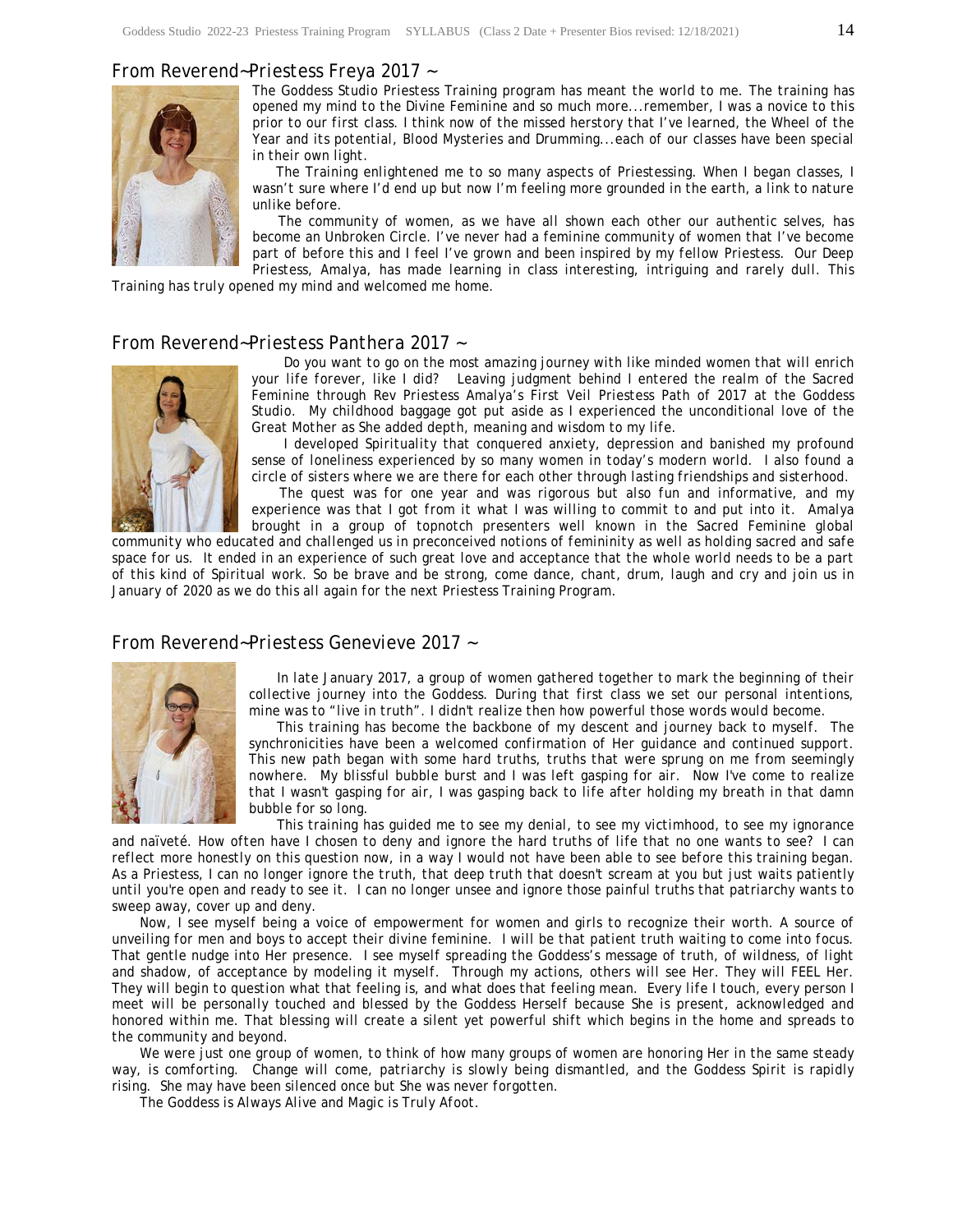#### *From Reverend~Priestess Freya 2017 ~*



*The Goddess Studio Priestess Training program has meant the world to me. The training has opened my mind to the Divine Feminine and so much more...remember, I was a novice to this prior to our first class. I think now of the missed herstory that I've learned, the Wheel of the Year and its potential, Blood Mysteries and Drumming...each of our classes have been special in their own light.* 

 *The Training enlightened me to so many aspects of Priestessing. When I began classes, I*  wasn't sure where I'd end up but now I'm feeling more grounded in the earth, a link to nature *unlike before.* 

 *The community of women, as we have all shown each other our authentic selves, has become an Unbroken Circle. I've never had a feminine community of women that I've become part of before this and I feel I've grown and been inspired by my fellow Priestess. Our Deep Priestess, Amalya, has made learning in class interesting, intriguing and rarely dull. This* 

*Training has truly opened my mind and welcomed me home.* 

#### *From Reverend~Priestess Panthera 2017 ~*



 *Do you want to go on the most amazing journey with like minded women that will enrich your life forever, like I did? Leaving judgment behind I entered the realm of the Sacred Feminine through Rev Priestess Amalya's First Veil Priestess Path of 2017 at the Goddess Studio. My childhood baggage got put aside as I experienced the unconditional love of the Great Mother as She added depth, meaning and wisdom to my life.* 

 *I developed Spirituality that conquered anxiety, depression and banished my profound sense of loneliness experienced by so many women in today's modern world. I also found a circle of sisters where we are there for each other through lasting friendships and sisterhood.* 

 *The quest was for one year and was rigorous but also fun and informative, and my experience was that I got from it what I was willing to commit to and put into it. Amalya brought in a group of topnotch presenters well known in the Sacred Feminine global* 

*community who educated and challenged us in preconceived notions of femininity as well as holding sacred and safe space for us. It ended in an experience of such great love and acceptance that the whole world needs to be a part of this kind of Spiritual work. So be brave and be strong, come dance, chant, drum, laugh and cry and join us in January of 2020 as we do this all again for the next Priestess Training Program.* 

#### *From Reverend~Priestess Genevieve 2017 ~*



 *In late January 2017, a group of women gathered together to mark the beginning of their collective journey into the Goddess. During that first class we set our personal intentions, mine was to "live in truth". I didn't realize then how powerful those words would become.* 

 *This training has become the backbone of my descent and journey back to myself. The synchronicities have been a welcomed confirmation of Her guidance and continued support. This new path began with some hard truths, truths that were sprung on me from seemingly nowhere. My blissful bubble burst and I was left gasping for air. Now I've come to realize that I wasn't gasping for air, I was gasping back to life after holding my breath in that damn bubble for so long.* 

 *This training has guided me to see my denial, to see my victimhood, to see my ignorance and naïveté. How often have I chosen to deny and ignore the hard truths of life that no one wants to see? I can reflect more honestly on this question now, in a way I would not have been able to see before this training began. As a Priestess, I can no longer ignore the truth, that deep truth that doesn't scream at you but just waits patiently until you're open and ready to see it. I can no longer unsee and ignore those painful truths that patriarchy wants to sweep away, cover up and deny.* 

 *Now, I see myself being a voice of empowerment for women and girls to recognize their worth. A source of unveiling for men and boys to accept their divine feminine. I will be that patient truth waiting to come into focus. That gentle nudge into Her presence. I see myself spreading the Goddess's message of truth, of wildness, of light and shadow, of acceptance by modeling it myself. Through my actions, others will see Her. They will FEEL Her. They will begin to question what that feeling is, and what does that feeling mean. Every life I touch, every person I meet will be personally touched and blessed by the Goddess Herself because She is present, acknowledged and honored within me. That blessing will create a silent yet powerful shift which begins in the home and spreads to the community and beyond.* 

 *We were just one group of women, to think of how many groups of women are honoring Her in the same steady way, is comforting. Change will come, patriarchy is slowly being dismantled, and the Goddess Spirit is rapidly rising. She may have been silenced once but She was never forgotten.* 

 *The Goddess is Always Alive and Magic is Truly Afoot.*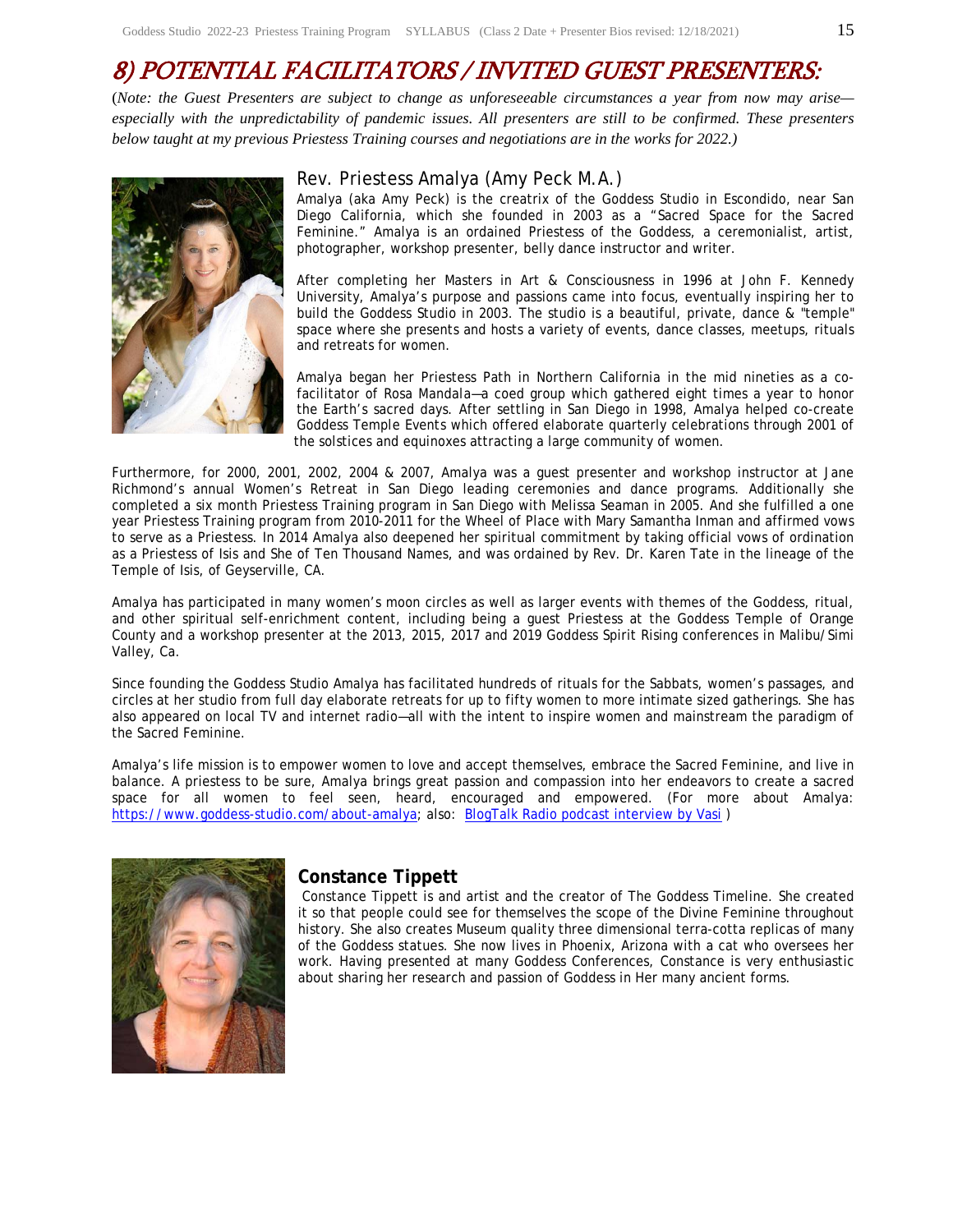# 8) POTENTIAL FACILITATORS / INVITED GUEST PRESENTERS:

(*Note: the Guest Presenters are subject to change as unforeseeable circumstances a year from now may arise especially with the unpredictability of pandemic issues. All presenters are still to be confirmed. These presenters below taught at my previous Priestess Training courses and negotiations are in the works for 2022.)* 



#### Rev. Priestess Amalya (Amy Peck M.A.)

Amalya (aka Amy Peck) is the creatrix of the Goddess Studio in Escondido, near San Diego California, which she founded in 2003 as a "Sacred Space for the Sacred Feminine." Amalya is an ordained Priestess of the Goddess, a ceremonialist, artist, photographer, workshop presenter, belly dance instructor and writer.

After completing her Masters in Art & Consciousness in 1996 at John F. Kennedy University, Amalya's purpose and passions came into focus, eventually inspiring her to build the Goddess Studio in 2003. The studio is a beautiful, private, dance & "temple" space where she presents and hosts a variety of events, dance classes, meetups, rituals and retreats for women.

Amalya began her Priestess Path in Northern California in the mid nineties as a cofacilitator of *Rosa Mandala*—a coed group which gathered eight times a year to honor the Earth's sacred days. After settling in San Diego in 1998, Amalya helped co-create *Goddess Temple Events* which offered elaborate quarterly celebrations through 2001 of the solstices and equinoxes attracting a large community of women.

Furthermore, for 2000, 2001, 2002, 2004 & 2007, Amalya was a guest presenter and workshop instructor at Jane Richmond's annual *Women's Retreat* in San Diego leading ceremonies and dance programs. Additionally she completed a six month Priestess Training program in San Diego with Melissa Seaman in 2005. And she fulfilled a one year Priestess Training program from 2010-2011 for the Wheel of Place with Mary Samantha Inman and affirmed vows to serve as a Priestess. In 2014 Amalya also deepened her spiritual commitment by taking official vows of ordination as a Priestess of Isis and She of Ten Thousand Names, and was ordained by Rev. Dr. Karen Tate in the lineage of the Temple of Isis, of Geyserville, CA.

Amalya has participated in many women's moon circles as well as larger events with themes of the Goddess, ritual, and other spiritual self-enrichment content, including being a guest Priestess at the Goddess Temple of Orange County and a workshop presenter at the 2013, 2015, 2017 and 2019 Goddess Spirit Rising conferences in Malibu/Simi Valley, Ca.

Since founding the Goddess Studio Amalya has facilitated hundreds of rituals for the Sabbats, women's passages, and circles at her studio from full day elaborate retreats for up to fifty women to more intimate sized gatherings. She has also appeared on local TV and internet radio—all with the intent to inspire women and mainstream the paradigm of the Sacred Feminine.

Amalya's life mission is to empower women to love and accept themselves, embrace the Sacred Feminine, and live in balance. A priestess to be sure, Amalya brings great passion and compassion into her endeavors to create a sacred space for all women to feel seen, heard, encouraged and empowered. (For more about Amalya: https://www.goddess-studio.com/about-amalya; also: BlogTalk Radio podcast interview by Vasi )



#### **Constance Tippett**

Constance Tippett is and artist and the creator of The Goddess Timeline. She created it so that people could see for themselves the scope of the Divine Feminine throughout history. She also creates Museum quality three dimensional terra-cotta replicas of many of the Goddess statues. She now lives in Phoenix, Arizona with a cat who oversees her work. Having presented at many Goddess Conferences, Constance is very enthusiastic about sharing her research and passion of Goddess in Her many ancient forms.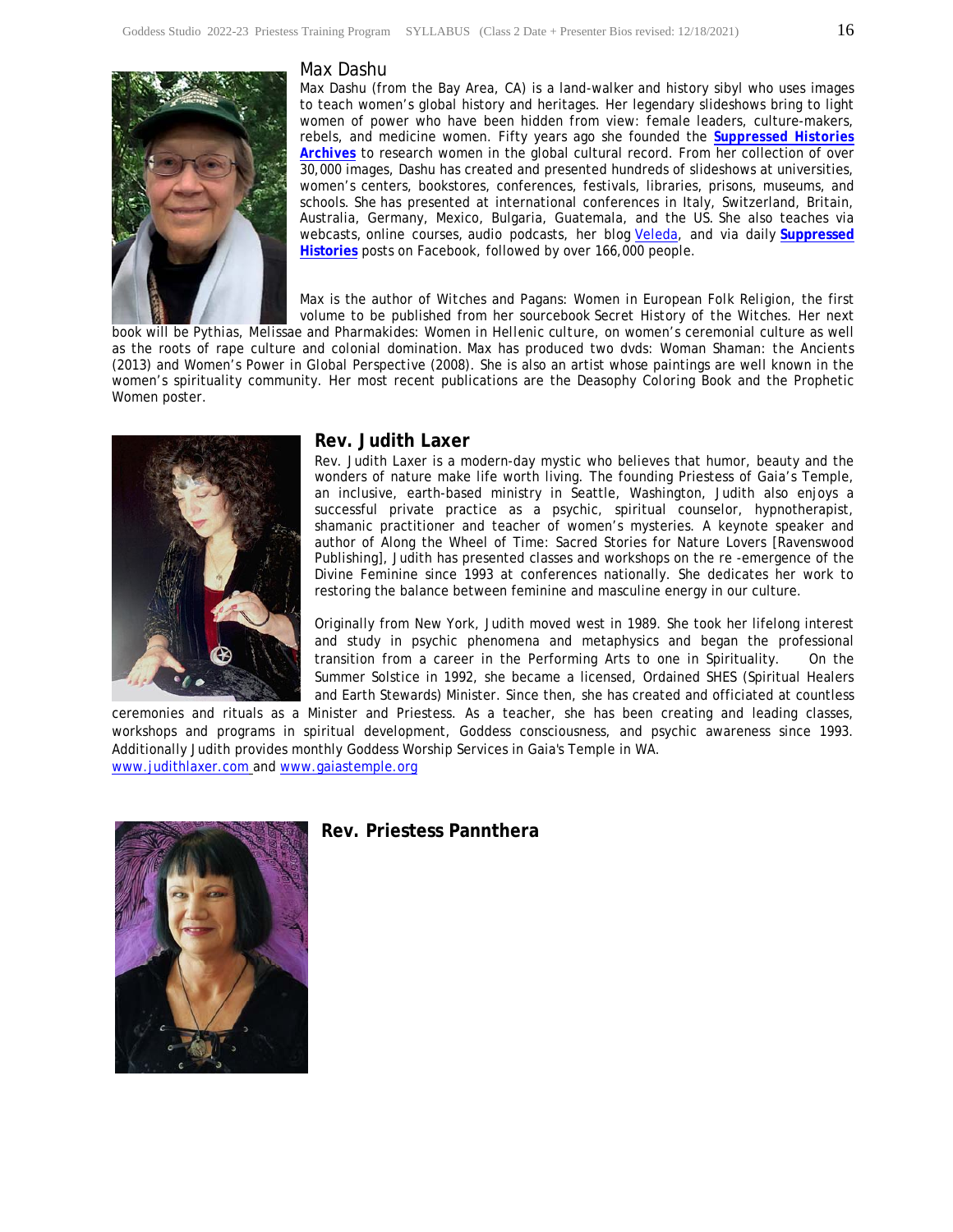

#### Max Dashu

Max Dashu (from the Bay Area, CA) is a land-walker and history sibyl who uses images to teach women's global history and heritages. Her legendary slideshows bring to light women of power who have been hidden from view: female leaders, culture-makers, rebels, and medicine women. Fifty years ago she founded the *Suppressed Histories Archives* to research women in the global cultural record. From her collection of over 30,000 images, Dashu has created and presented hundreds of slideshows at universities, women's centers, bookstores, conferences, festivals, libraries, prisons, museums, and schools. She has presented at international conferences in Italy, Switzerland, Britain, Australia, Germany, Mexico, Bulgaria, Guatemala, and the US. She also teaches via webcasts, online courses, audio podcasts, her blog Veleda, and via daily **Suppressed Histories** posts on Facebook, followed by over 166,000 people.

Max is the author of *Witches and Pagans: Women in European Folk Religion*, the first volume to be published from her sourcebook *Secret History of the Witches.* Her next

book will be *Pythias, Melissae and Pharmakides: Women in Hellenic culture*, on women's ceremonial culture as well as the roots of rape culture and colonial domination. Max has produced two dvds: *Woman Shaman: the Ancients* (2013) and *Women's Power in Global Perspective* (2008). She is also an artist whose paintings are well known in the women's spirituality community. Her most recent publications are the *Deasophy Coloring Book* and the Prophetic Women poster.



#### **Rev. Judith Laxer**

Rev. Judith Laxer is a modern-day mystic who believes that humor, beauty and the wonders of nature make life worth living. The founding Priestess of Gaia's Temple, an inclusive, earth-based ministry in Seattle, Washington, Judith also enjoys a successful private practice as a psychic, spiritual counselor, hypnotherapist, shamanic practitioner and teacher of women's mysteries. A keynote speaker and author of Along the Wheel of Time: Sacred Stories for Nature Lovers [Ravenswood Publishing], Judith has presented classes and workshops on the re -emergence of the Divine Feminine since 1993 at conferences nationally. She dedicates her work to restoring the balance between feminine and masculine energy in our culture.

Originally from New York, Judith moved west in 1989. She took her lifelong interest and study in psychic phenomena and metaphysics and began the professional transition from a career in the Performing Arts to one in Spirituality. On the Summer Solstice in 1992, she became a licensed, Ordained SHES (Spiritual Healers and Earth Stewards) Minister. Since then, she has created and officiated at countless

ceremonies and rituals as a Minister and Priestess. As a teacher, she has been creating and leading classes, workshops and programs in spiritual development, Goddess consciousness, and psychic awareness since 1993. Additionally Judith provides monthly Goddess Worship Services in Gaia's Temple in WA. www.judithlaxer.com and www.gaiastemple.org



#### **Rev. Priestess Pannthera**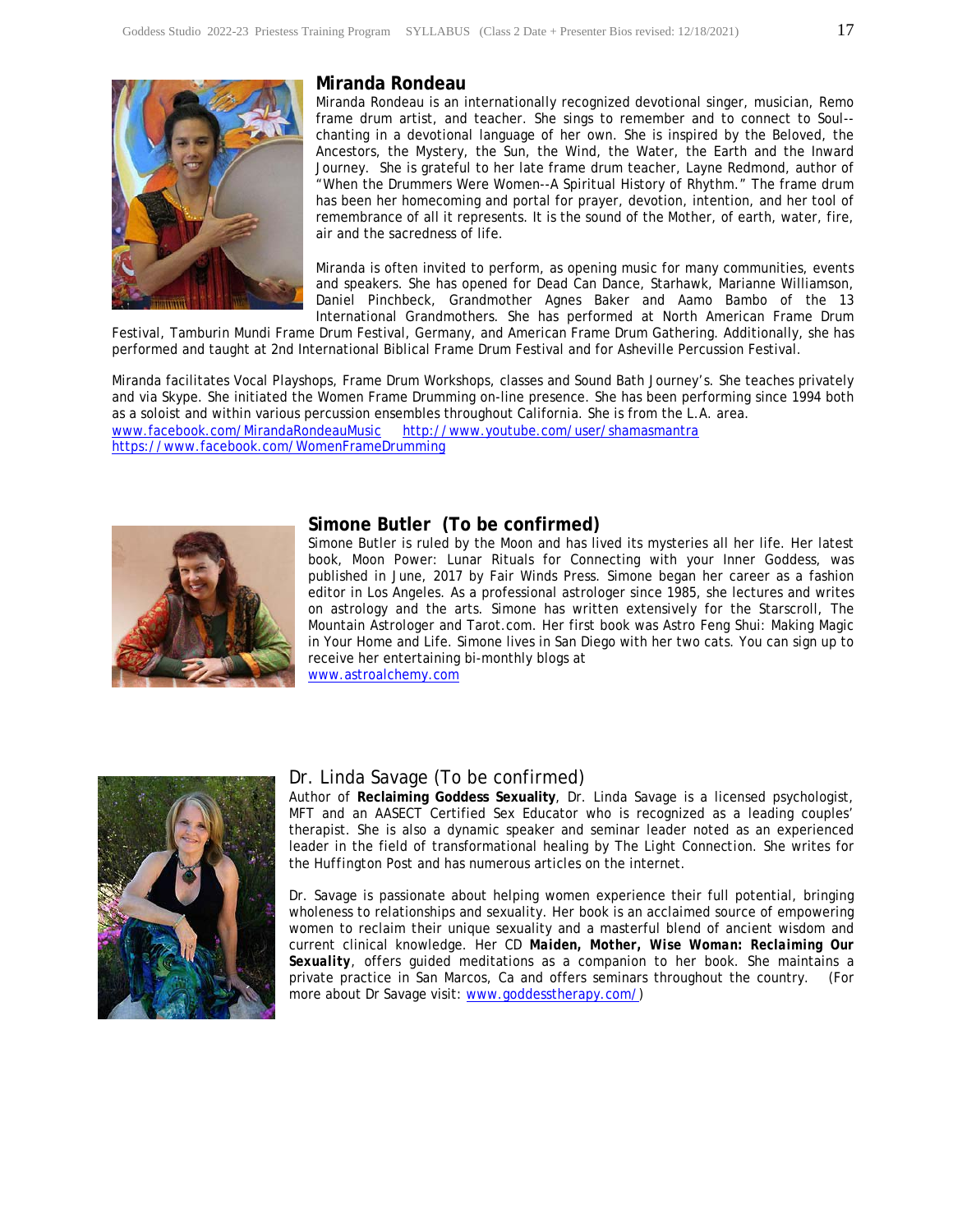

#### **Miranda Rondeau**

Miranda Rondeau is an internationally recognized devotional singer, musician, Remo frame drum artist, and teacher. She sings to remember and to connect to Soul- chanting in a devotional language of her own. She is inspired by the Beloved, the Ancestors, the Mystery, the Sun, the Wind, the Water, the Earth and the Inward Journey. She is grateful to her late frame drum teacher, Layne Redmond, author of "When the Drummers Were Women--A Spiritual History of Rhythm." The frame drum has been her homecoming and portal for prayer, devotion, intention, and her tool of remembrance of all it represents. It is the sound of the Mother, of earth, water, fire, air and the sacredness of life.

Miranda is often invited to perform, as opening music for many communities, events and speakers. She has opened for Dead Can Dance, Starhawk, Marianne Williamson, Daniel Pinchbeck, Grandmother Agnes Baker and Aamo Bambo of the 13 International Grandmothers. She has performed at North American Frame Drum

Festival, Tamburin Mundi Frame Drum Festival, Germany, and American Frame Drum Gathering. Additionally, she has performed and taught at 2nd International Biblical Frame Drum Festival and for Asheville Percussion Festival.

Miranda facilitates Vocal Playshops, Frame Drum Workshops, classes and Sound Bath Journey's. She teaches privately and via Skype. She initiated the Women Frame Drumming on-line presence. She has been performing since 1994 both as a soloist and within various percussion ensembles throughout California. She is from the L.A. area.<br>www.facebook.com/MirandaRondeauMusic http://www.youtube.com/user/shamasmantra http://www.youtube.com/user/shamasmantra https://www.facebook.com/WomenFrameDrumming



#### **Simone Butler (To be confirmed)**

Simone Butler is ruled by the Moon and has lived its mysteries all her life. Her latest book, Moon Power: Lunar Rituals for Connecting with your Inner Goddess, was published in June, 2017 by Fair Winds Press. Simone began her career as a fashion editor in Los Angeles. As a professional astrologer since 1985, she lectures and writes on astrology and the arts. Simone has written extensively for the Starscroll, The Mountain Astrologer and Tarot.com. Her first book was Astro Feng Shui: Making Magic in Your Home and Life. Simone lives in San Diego with her two cats. You can sign up to receive her entertaining bi-monthly blogs at

www.astroalchemy.com



#### Dr. Linda Savage (To be confirmed)

Author of **Reclaiming Goddess Sexuality**, Dr. Linda Savage is a licensed psychologist, MFT and an AASECT Certified Sex Educator who is recognized as a leading couples' therapist. She is also a dynamic speaker and seminar leader noted as an experienced leader in the field of transformational healing by *The Light Connection*. She writes for the *Huffington Post* and has numerous articles on the internet.

Dr. Savage is passionate about helping women experience their full potential, bringing wholeness to relationships and sexuality. Her book is an acclaimed source of empowering women to reclaim their unique sexuality and a masterful blend of ancient wisdom and current clinical knowledge. Her CD *Maiden, Mother, Wise Woman: Reclaiming Our Sexuality,* offers guided meditations as a companion to her book. She maintains a private practice in San Marcos, Ca and offers seminars throughout the country. (For more about Dr Savage visit: www.goddesstherapy.com/)